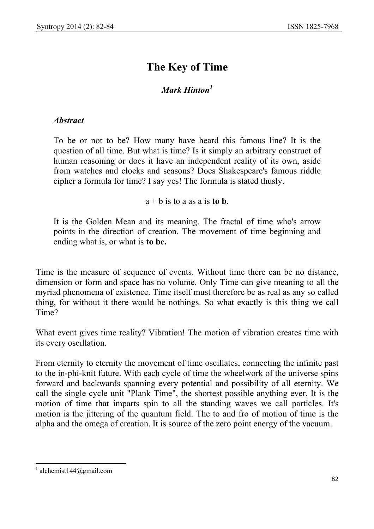## **The Key of Time**

## *Mark Hinton1*

## *Abstract*

To be or not to be? How many have heard this famous line? It is the question of all time. But what is time? Is it simply an arbitrary construct of human reasoning or does it have an independent reality of its own, aside from watches and clocks and seasons? Does Shakespeare's famous riddle cipher a formula for time? I say yes! The formula is stated thusly.

 $a + b$  is to a as a is **to b**.

It is the Golden Mean and its meaning. The fractal of time who's arrow points in the direction of creation. The movement of time beginning and ending what is, or what is **to be.** 

Time is the measure of sequence of events. Without time there can be no distance, dimension or form and space has no volume. Only Time can give meaning to all the myriad phenomena of existence. Time itself must therefore be as real as any so called thing, for without it there would be nothings. So what exactly is this thing we call Time?

What event gives time reality? Vibration! The motion of vibration creates time with its every oscillation.

From eternity to eternity the movement of time oscillates, connecting the infinite past to the in-phi-knit future. With each cycle of time the wheelwork of the universe spins forward and backwards spanning every potential and possibility of all eternity. We call the single cycle unit "Plank Time", the shortest possible anything ever. It is the motion of time that imparts spin to all the standing waves we call particles. It's motion is the jittering of the quantum field. The to and fro of motion of time is the alpha and the omega of creation. It is source of the zero point energy of the vacuum.

 $\overline{a}$  $1$  alchemist144@gmail.com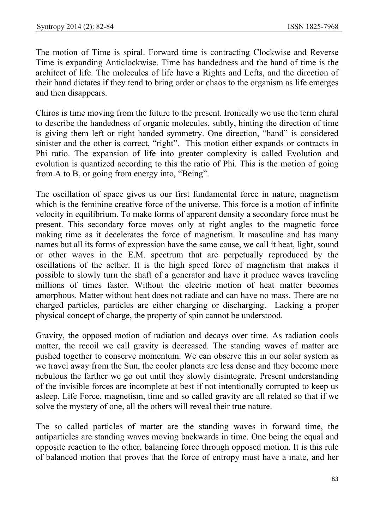The motion of Time is spiral. Forward time is contracting Clockwise and Reverse Time is expanding Anticlockwise. Time has handedness and the hand of time is the architect of life. The molecules of life have a Rights and Lefts, and the direction of their hand dictates if they tend to bring order or chaos to the organism as life emerges and then disappears.

Chiros is time moving from the future to the present. Ironically we use the term chiral to describe the handedness of organic molecules, subtly, hinting the direction of time is giving them left or right handed symmetry. One direction, "hand" is considered sinister and the other is correct, "right". This motion either expands or contracts in Phi ratio. The expansion of life into greater complexity is called Evolution and evolution is quantized according to this the ratio of Phi. This is the motion of going from A to B, or going from energy into, "Being".

The oscillation of space gives us our first fundamental force in nature, magnetism which is the feminine creative force of the universe. This force is a motion of infinite velocity in equilibrium. To make forms of apparent density a secondary force must be present. This secondary force moves only at right angles to the magnetic force making time as it decelerates the force of magnetism. It masculine and has many names but all its forms of expression have the same cause, we call it heat, light, sound or other waves in the E.M. spectrum that are perpetually reproduced by the oscillations of the aether. It is the high speed force of magnetism that makes it possible to slowly turn the shaft of a generator and have it produce waves traveling millions of times faster. Without the electric motion of heat matter becomes amorphous. Matter without heat does not radiate and can have no mass. There are no charged particles, particles are either charging or discharging. Lacking a proper physical concept of charge, the property of spin cannot be understood.

Gravity, the opposed motion of radiation and decays over time. As radiation cools matter, the recoil we call gravity is decreased. The standing waves of matter are pushed together to conserve momentum. We can observe this in our solar system as we travel away from the Sun, the cooler planets are less dense and they become more nebulous the farther we go out until they slowly disintegrate. Present understanding of the invisible forces are incomplete at best if not intentionally corrupted to keep us asleep. Life Force, magnetism, time and so called gravity are all related so that if we solve the mystery of one, all the others will reveal their true nature.

The so called particles of matter are the standing waves in forward time, the antiparticles are standing waves moving backwards in time. One being the equal and opposite reaction to the other, balancing force through opposed motion. It is this rule of balanced motion that proves that the force of entropy must have a mate, and her